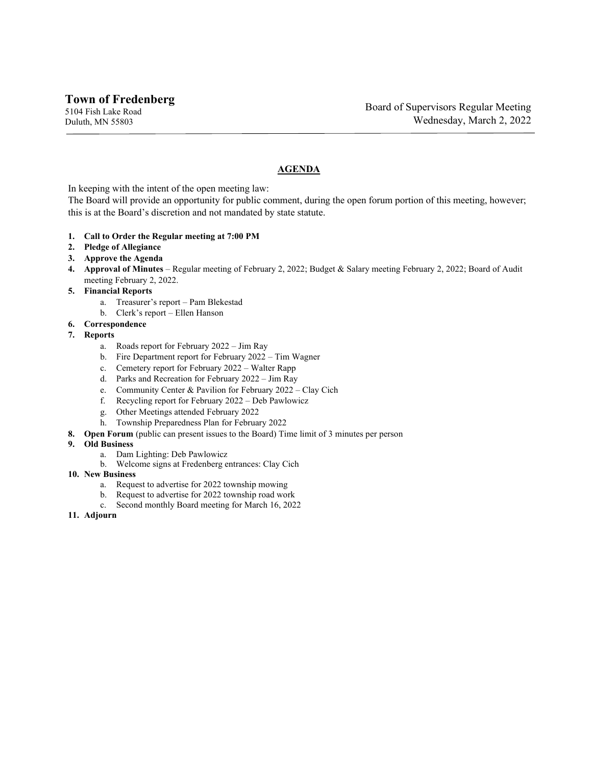## **AGENDA**

In keeping with the intent of the open meeting law:

The Board will provide an opportunity for public comment, during the open forum portion of this meeting, however; this is at the Board's discretion and not mandated by state statute.

- **1. Call to Order the Regular meeting at 7:00 PM**
- **2. Pledge of Allegiance**
- **3. Approve the Agenda**
- **4. Approval of Minutes** Regular meeting of February 2, 2022; Budget & Salary meeting February 2, 2022; Board of Audit meeting February 2, 2022.
- **5. Financial Reports**
	- a. Treasurer's report Pam Blekestad
	- b. Clerk's report Ellen Hanson
- **6. Correspondence**
- **7. Reports**
	- a. Roads report for February 2022 Jim Ray
	- b. Fire Department report for February 2022 Tim Wagner
	- c. Cemetery report for February 2022 Walter Rapp
	- d. Parks and Recreation for February 2022 Jim Ray
	- e. Community Center & Pavilion for February 2022 Clay Cich
	- f. Recycling report for February 2022 Deb Pawlowicz
	- g. Other Meetings attended February 2022
	- h. Township Preparedness Plan for February 2022
- **8. Open Forum** (public can present issues to the Board) Time limit of 3 minutes per person
- **9. Old Business**
	- a. Dam Lighting: Deb Pawlowicz
	- b. Welcome signs at Fredenberg entrances: Clay Cich
- **10. New Business**
	- a. Request to advertise for 2022 township mowing
	- b. Request to advertise for 2022 township road work
	- c. Second monthly Board meeting for March 16, 2022
- **11. Adjourn**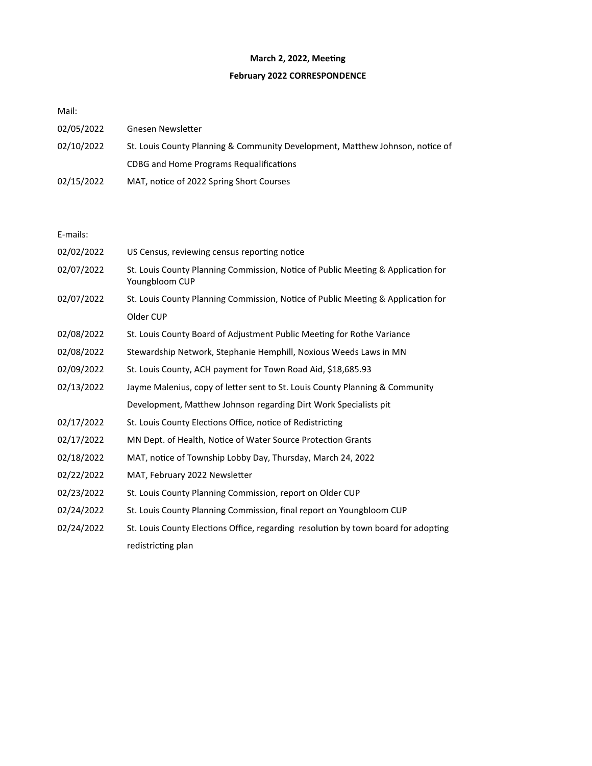## **March 2, 2022, Meeting**

## **February 2022 CORRESPONDENCE**

Mail:

| 02/05/2022 | Gnesen Newsletter                                                             |
|------------|-------------------------------------------------------------------------------|
| 02/10/2022 | St. Louis County Planning & Community Development, Matthew Johnson, notice of |
|            | CDBG and Home Programs Requalifications                                       |
| 02/15/2022 | MAT, notice of 2022 Spring Short Courses                                      |

E-mails:

| 02/02/2022 | US Census, reviewing census reporting notice                                                       |
|------------|----------------------------------------------------------------------------------------------------|
| 02/07/2022 | St. Louis County Planning Commission, Notice of Public Meeting & Application for<br>Youngbloom CUP |
| 02/07/2022 | St. Louis County Planning Commission, Notice of Public Meeting & Application for                   |
|            | Older CUP                                                                                          |
| 02/08/2022 | St. Louis County Board of Adjustment Public Meeting for Rothe Variance                             |
| 02/08/2022 | Stewardship Network, Stephanie Hemphill, Noxious Weeds Laws in MN                                  |
| 02/09/2022 | St. Louis County, ACH payment for Town Road Aid, \$18,685.93                                       |
| 02/13/2022 | Jayme Malenius, copy of letter sent to St. Louis County Planning & Community                       |
|            | Development, Matthew Johnson regarding Dirt Work Specialists pit                                   |
| 02/17/2022 | St. Louis County Elections Office, notice of Redistricting                                         |
| 02/17/2022 | MN Dept. of Health, Notice of Water Source Protection Grants                                       |
| 02/18/2022 | MAT, notice of Township Lobby Day, Thursday, March 24, 2022                                        |
| 02/22/2022 | MAT, February 2022 Newsletter                                                                      |
| 02/23/2022 | St. Louis County Planning Commission, report on Older CUP                                          |
| 02/24/2022 | St. Louis County Planning Commission, final report on Youngbloom CUP                               |
| 02/24/2022 | St. Louis County Elections Office, regarding resolution by town board for adopting                 |
|            | redistricting plan                                                                                 |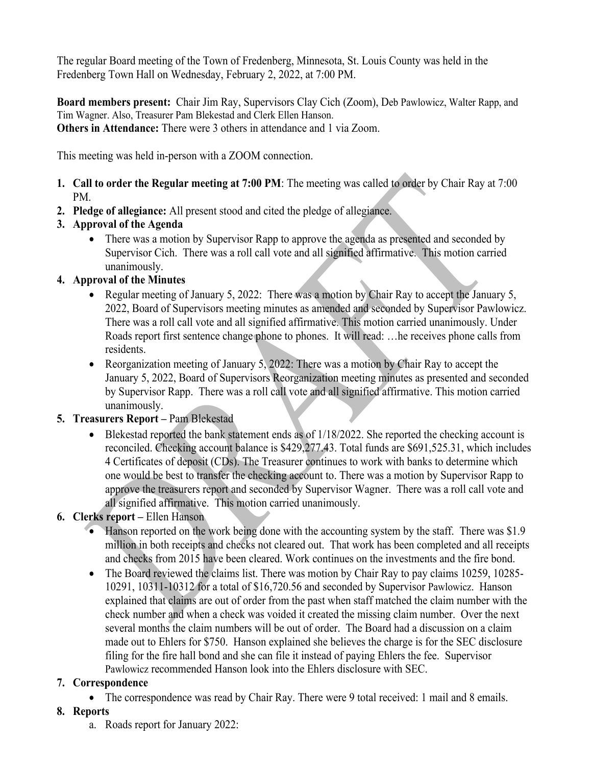The regular Board meeting of the Town of Fredenberg, Minnesota, St. Louis County was held in the Fredenberg Town Hall on Wednesday, February 2, 2022, at 7:00 PM.

**Board members present:** Chair Jim Ray, Supervisors Clay Cich (Zoom), Deb Pawlowicz, Walter Rapp, and Tim Wagner. Also, Treasurer Pam Blekestad and Clerk Ellen Hanson. **Others in Attendance:** There were 3 others in attendance and 1 via Zoom.

This meeting was held in-person with a ZOOM connection.

- **1. Call to order the Regular meeting at 7:00 PM**: The meeting was called to order by Chair Ray at 7:00 PM.
- **2. Pledge of allegiance:** All present stood and cited the pledge of allegiance.
- **3. Approval of the Agenda**
	- There was a motion by Supervisor Rapp to approve the agenda as presented and seconded by Supervisor Cich. There was a roll call vote and all signified affirmative. This motion carried unanimously.
- **4. Approval of the Minutes**
	- Regular meeting of January 5, 2022: There was a motion by Chair Ray to accept the January 5, 2022, Board of Supervisors meeting minutes as amended and seconded by Supervisor Pawlowicz. There was a roll call vote and all signified affirmative. This motion carried unanimously. Under Roads report first sentence change phone to phones. It will read: …he receives phone calls from residents.
	- Reorganization meeting of January 5, 2022: There was a motion by Chair Ray to accept the January 5, 2022, Board of Supervisors Reorganization meeting minutes as presented and seconded by Supervisor Rapp. There was a roll call vote and all signified affirmative. This motion carried unanimously.

# **5. Treasurers Report –** Pam Blekestad

- Blekestad reported the bank statement ends as of 1/18/2022. She reported the checking account is reconciled. Checking account balance is \$429,277.43. Total funds are \$691,525.31, which includes 4 Certificates of deposit (CDs). The Treasurer continues to work with banks to determine which one would be best to transfer the checking account to. There was a motion by Supervisor Rapp to approve the treasurers report and seconded by Supervisor Wagner. There was a roll call vote and all signified affirmative. This motion carried unanimously.
- **6. Clerks report –** Ellen Hanson
	- Hanson reported on the work being done with the accounting system by the staff. There was \$1.9 million in both receipts and checks not cleared out. That work has been completed and all receipts and checks from 2015 have been cleared. Work continues on the investments and the fire bond.
	- The Board reviewed the claims list. There was motion by Chair Ray to pay claims 10259, 10285- 10291, 10311-10312 for a total of \$16,720.56 and seconded by Supervisor Pawlowicz. Hanson explained that claims are out of order from the past when staff matched the claim number with the check number and when a check was voided it created the missing claim number. Over the next several months the claim numbers will be out of order. The Board had a discussion on a claim made out to Ehlers for \$750. Hanson explained she believes the charge is for the SEC disclosure filing for the fire hall bond and she can file it instead of paying Ehlers the fee. Supervisor Pawlowicz recommended Hanson look into the Ehlers disclosure with SEC.

# **7. Correspondence**

• The correspondence was read by Chair Ray. There were 9 total received: 1 mail and 8 emails.

# **8. Reports**

a. Roads report for January 2022: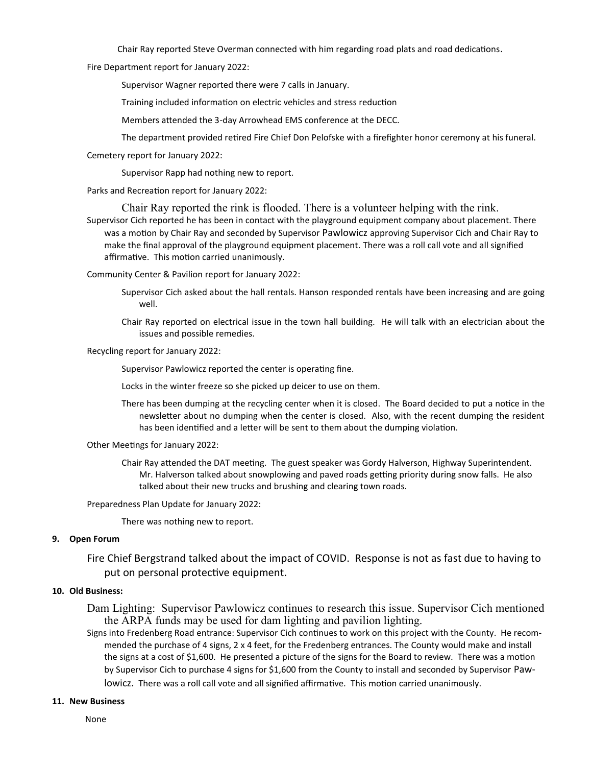Chair Ray reported Steve Overman connected with him regarding road plats and road dedications.

Fire Department report for January 2022:

Supervisor Wagner reported there were 7 calls in January.

Training included information on electric vehicles and stress reduction

Members attended the 3-day Arrowhead EMS conference at the DECC.

The department provided retired Fire Chief Don Pelofske with a firefighter honor ceremony at his funeral.

Cemetery report for January 2022:

Supervisor Rapp had nothing new to report.

Parks and Recreation report for January 2022:

Chair Ray reported the rink is flooded. There is a volunteer helping with the rink.

Supervisor Cich reported he has been in contact with the playground equipment company about placement. There was a motion by Chair Ray and seconded by Supervisor Pawlowicz approving Supervisor Cich and Chair Ray to make the final approval of the playground equipment placement. There was a roll call vote and all signified affirmative. This motion carried unanimously.

Community Center & Pavilion report for January 2022:

Supervisor Cich asked about the hall rentals. Hanson responded rentals have been increasing and are going well.

Chair Ray reported on electrical issue in the town hall building. He will talk with an electrician about the issues and possible remedies.

Recycling report for January 2022:

Supervisor Pawlowicz reported the center is operating fine.

Locks in the winter freeze so she picked up deicer to use on them.

There has been dumping at the recycling center when it is closed. The Board decided to put a notice in the newsletter about no dumping when the center is closed. Also, with the recent dumping the resident has been identified and a letter will be sent to them about the dumping violation.

Other Meetings for January 2022:

Chair Ray attended the DAT meeting. The guest speaker was Gordy Halverson, Highway Superintendent. Mr. Halverson talked about snowplowing and paved roads getting priority during snow falls. He also talked about their new trucks and brushing and clearing town roads.

Preparedness Plan Update for January 2022:

There was nothing new to report.

#### **9. Open Forum**

Fire Chief Bergstrand talked about the impact of COVID. Response is not as fast due to having to put on personal protective equipment.

#### **10. Old Business:**

Dam Lighting: Supervisor Pawlowicz continues to research this issue. Supervisor Cich mentioned the ARPA funds may be used for dam lighting and pavilion lighting.

Signs into Fredenberg Road entrance: Supervisor Cich continues to work on this project with the County. He recommended the purchase of 4 signs, 2 x 4 feet, for the Fredenberg entrances. The County would make and install the signs at a cost of \$1,600. He presented a picture of the signs for the Board to review. There was a motion by Supervisor Cich to purchase 4 signs for \$1,600 from the County to install and seconded by Supervisor Paw-

lowicz. There was a roll call vote and all signified affirmative. This motion carried unanimously.

#### **11. New Business**

None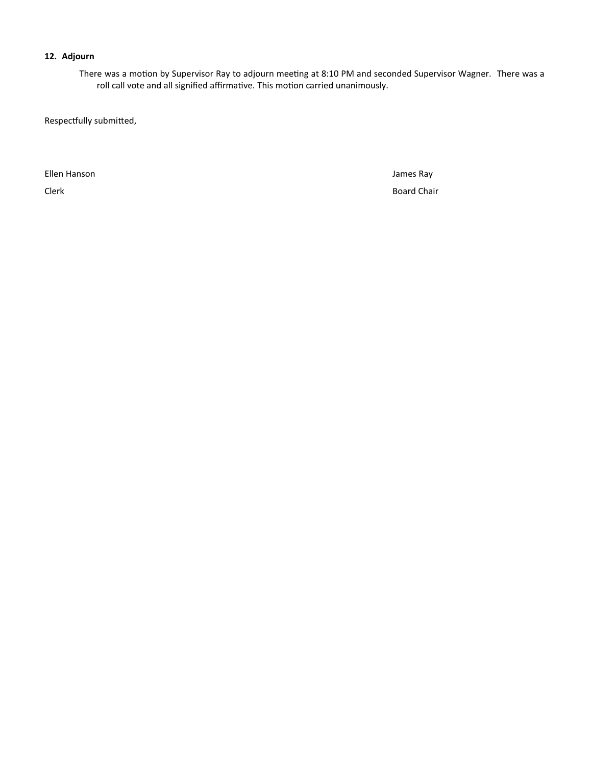#### **12. Adjourn**

There was a motion by Supervisor Ray to adjourn meeting at 8:10 PM and seconded Supervisor Wagner. There was a roll call vote and all signified affirmative. This motion carried unanimously.

Respectfully submitted,

Ellen Hanson James Ray

Clerk Board Chair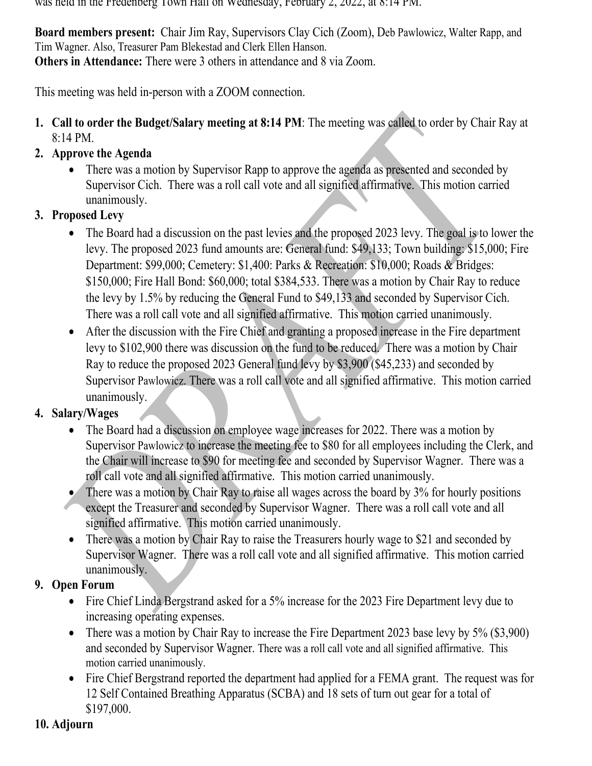was held in the Fredenberg Town Hall on Wednesday, February 2, 2022, at 8:14 PM.

**Board members present:** Chair Jim Ray, Supervisors Clay Cich (Zoom), Deb Pawlowicz, Walter Rapp, and Tim Wagner. Also, Treasurer Pam Blekestad and Clerk Ellen Hanson. **Others in Attendance:** There were 3 others in attendance and 8 via Zoom.

This meeting was held in-person with a ZOOM connection.

- **1. Call to order the Budget/Salary meeting at 8:14 PM**: The meeting was called to order by Chair Ray at 8:14 PM.
- **2. Approve the Agenda**
	- • There was a motion by Supervisor Rapp to approve the agenda as presented and seconded by Supervisor Cich. There was a roll call vote and all signified affirmative. This motion carried unanimously.
- **3. Proposed Levy**
	- • The Board had a discussion on the past levies and the proposed 2023 levy. The goal is to lower the levy. The proposed 2023 fund amounts are: General fund: \$49,133; Town building: \$15,000; Fire Department: \$99,000; Cemetery: \$1,400: Parks & Recreation: \$10,000; Roads & Bridges: \$150,000; Fire Hall Bond: \$60,000; total \$384,533. There was a motion by Chair Ray to reduce the levy by 1.5% by reducing the General Fund to \$49,133 and seconded by Supervisor Cich. There was a roll call vote and all signified affirmative. This motion carried unanimously.
	- • After the discussion with the Fire Chief and granting a proposed increase in the Fire department levy to \$102,900 there was discussion on the fund to be reduced. There was a motion by Chair Ray to reduce the proposed 2023 General fund levy by \$3,900 (\$45,233) and seconded by Supervisor Pawlowicz. There was a roll call vote and all signified affirmative. This motion carried unanimously.

# **4. Salary/Wages**

- • The Board had a discussion on employee wage increases for 2022. There was a motion by Supervisor Pawlowicz to increase the meeting fee to \$80 for all employees including the Clerk, and the Chair will increase to \$90 for meeting fee and seconded by Supervisor Wagner. There was a roll call vote and all signified affirmative. This motion carried unanimously.
- • There was a motion by Chair Ray to raise all wages across the board by 3% for hourly positions except the Treasurer and seconded by Supervisor Wagner. There was a roll call vote and all signified affirmative. This motion carried unanimously.
- $\bullet$  There was a motion by Chair Ray to raise the Treasurers hourly wage to \$21 and seconded by Supervisor Wagner. There was a roll call vote and all signified affirmative. This motion carried unanimously.
- **9. Open Forum**
	- Fire Chief Linda Bergstrand asked for a 5% increase for the 2023 Fire Department levy due to increasing operating expenses.
	- There was a motion by Chair Ray to increase the Fire Department 2023 base levy by 5% (\$3,900) and seconded by Supervisor Wagner. There was a roll call vote and all signified affirmative. This motion carried unanimously.
	- Fire Chief Bergstrand reported the department had applied for a FEMA grant. The request was for 12 Self Contained Breathing Apparatus (SCBA) and 18 sets of turn out gear for a total of \$197,000.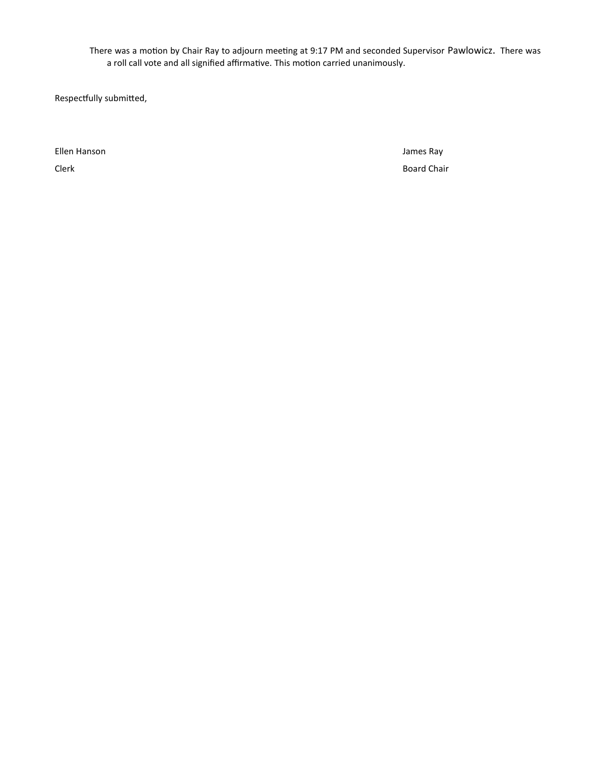There was a motion by Chair Ray to adjourn meeting at 9:17 PM and seconded Supervisor Pawlowicz. There was a roll call vote and all signified affirmative. This motion carried unanimously.

Respectfully submitted,

Ellen Hanson James Ray

Clerk Board Chair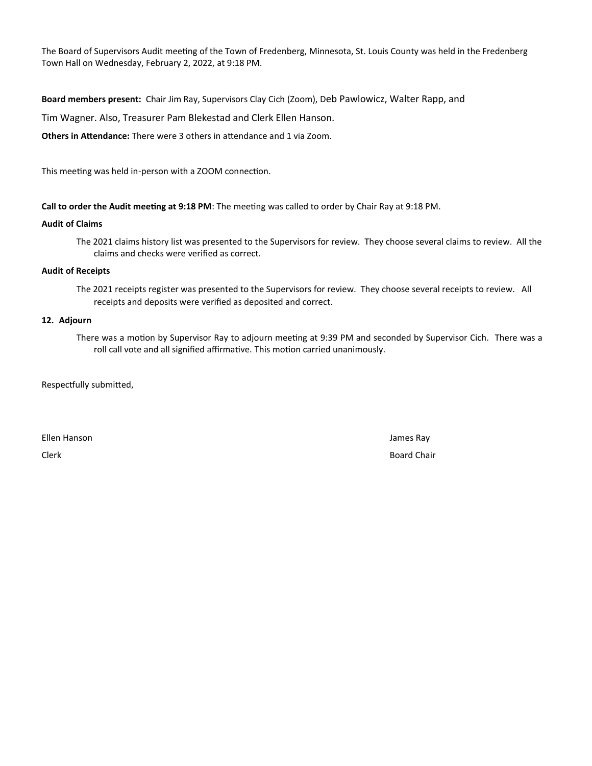The Board of Supervisors Audit meeting of the Town of Fredenberg, Minnesota, St. Louis County was held in the Fredenberg Town Hall on Wednesday, February 2, 2022, at 9:18 PM.

**Board members present:** Chair Jim Ray, Supervisors Clay Cich (Zoom), Deb Pawlowicz, Walter Rapp, and

Tim Wagner. Also, Treasurer Pam Blekestad and Clerk Ellen Hanson.

**Others in Attendance:** There were 3 others in attendance and 1 via Zoom.

This meeting was held in-person with a ZOOM connection.

**Call to order the Audit meeting at 9:18 PM**: The meeting was called to order by Chair Ray at 9:18 PM.

#### **Audit of Claims**

The 2021 claims history list was presented to the Supervisors for review. They choose several claims to review. All the claims and checks were verified as correct.

#### **Audit of Receipts**

The 2021 receipts register was presented to the Supervisors for review. They choose several receipts to review. All receipts and deposits were verified as deposited and correct.

#### **12. Adjourn**

There was a motion by Supervisor Ray to adjourn meeting at 9:39 PM and seconded by Supervisor Cich. There was a roll call vote and all signified affirmative. This motion carried unanimously.

Respectfully submitted,

Ellen Hanson James Ray

Clerk Board Chair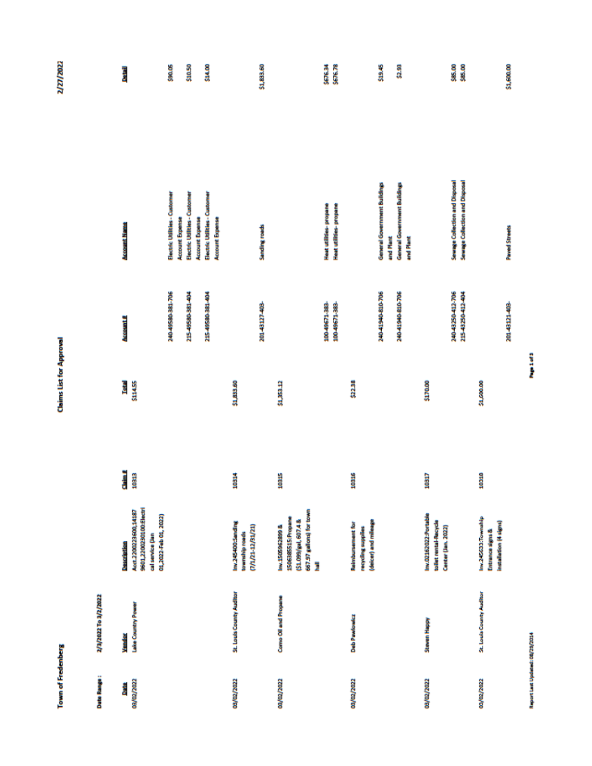**Claims List for Approval** 

2/27/2022

| I |
|---|
|   |
|   |
|   |
|   |
|   |
|   |
|   |
|   |
|   |
|   |
|   |
|   |
|   |
|   |
|   |
|   |
|   |
|   |
|   |
|   |
|   |
|   |
|   |
|   |
|   |
| ı |
|   |
|   |
|   |
|   |
|   |
|   |
|   |
|   |

| <b>Date Range:</b> | Ziałyzna Teatrick        |                                                                                                  |       |              |                                   |                                                                  |                    |
|--------------------|--------------------------|--------------------------------------------------------------------------------------------------|-------|--------------|-----------------------------------|------------------------------------------------------------------|--------------------|
| <b>Brite</b>       | Vendor                   | Description                                                                                      | din 2 | Total        | <b>Account #</b>                  | <b>Account Name</b>                                              | <b>Data</b> il     |
| 03/02/2022         | Lake Country Power       | 9601,2200230100:Electri<br>Acct 2200223600,14187<br>01,2022-Feb 01, 2022)<br>cal service (Jan    | 10313 | <b>STARE</b> |                                   |                                                                  |                    |
|                    |                          |                                                                                                  |       |              | 340-49580-381-706                 | Electric Utilities - Customer<br><b>Account Expense</b>          | \$90.05            |
|                    |                          |                                                                                                  |       |              | 215-49580-381-404                 | Electric Utilities - Custome                                     | \$10.50            |
|                    |                          |                                                                                                  |       |              |                                   | <b>Account Expense</b>                                           |                    |
|                    |                          |                                                                                                  |       |              | 115-49580-381-404                 | Electric Utilities - Customer                                    | \$14.00            |
|                    |                          |                                                                                                  |       |              |                                   | <b>Account Expense</b>                                           |                    |
| 03/02/2022         | St. Louis County Auditor | Inv.245400:Sanding<br>(7/12/31/21)<br>township roads                                             | 10314 | \$1,833.60   |                                   |                                                                  |                    |
|                    |                          |                                                                                                  |       |              | 20143127403-                      | <b>Sanding roads</b>                                             | \$1,833.60         |
| 03/02/2022         | Como Oil and Propane     | 667.97 gallons) for town<br>1506385515:Propane<br>(\$1.099/gal, 607.4 &<br>Inv.1505962899 &<br>Ī | 10315 | 31,353,12    |                                   |                                                                  |                    |
|                    |                          |                                                                                                  |       |              | 100-49671-383-                    | Heat utilities-propane                                           | \$676.34           |
|                    |                          |                                                                                                  |       |              | 100-49671-383-                    | Heat utilities-propane                                           | \$676.78           |
| 03/02/2022         | <b>Deb Pawlowicz</b>     | (deicer) and mileage<br><b>Reimbursement for</b><br>recycling supplies                           | 10316 | \$22.38      |                                   |                                                                  |                    |
|                    |                          |                                                                                                  |       |              | 240-41940-810-706                 | General Government Buildings<br>and Plant                        | \$19.45            |
|                    |                          |                                                                                                  |       |              | 240-41940-810-706                 | General Government Buildings<br>and Plant                        | \$2.93             |
| 03/02/2022         | Steven Happy             | Inv.02162022:Portable<br>toilet rental-Recycle<br>Center (Jan. 2022)                             | 10317 | \$170.00     |                                   |                                                                  |                    |
|                    |                          |                                                                                                  |       |              | 24043250412-706<br>11543250412404 | Sewage Collection and Disposal<br>Sewage Collection and Disposal | \$85.00<br>\$85.00 |
| 03/02/2022         | St. Louis County Auditor | Inv.245633:Township<br>installation (4 signs)<br>Entrance signs &                                | 10318 | \$1,600.00   |                                   |                                                                  |                    |
|                    |                          |                                                                                                  |       |              | 20143121403                       | <b>Paved Streets</b>                                             | \$1,600.00         |

Report Last Updated: 08/29/2014

Papel of 3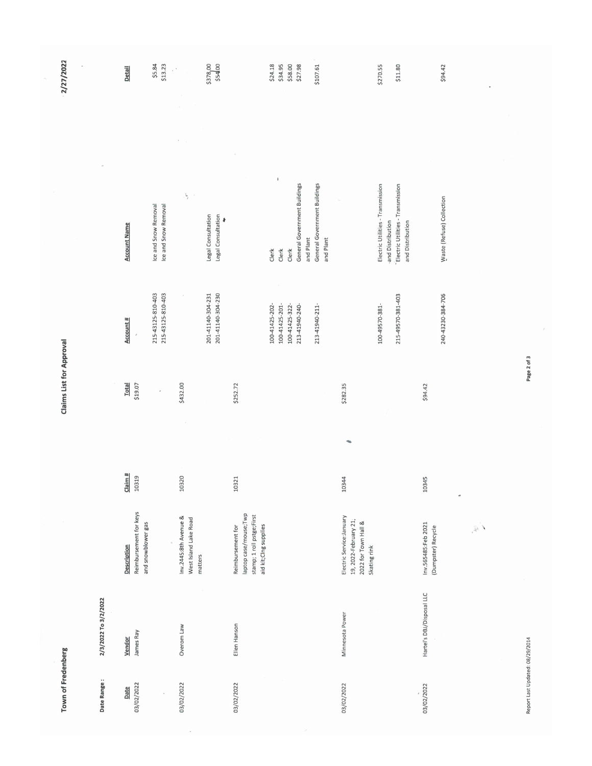| Town of Fredenberg |                           |                                                                                                  |                 | <b>Claims List for Approval</b> |                                        |                                                                                                                | 2/27/2022           |
|--------------------|---------------------------|--------------------------------------------------------------------------------------------------|-----------------|---------------------------------|----------------------------------------|----------------------------------------------------------------------------------------------------------------|---------------------|
| Date Range:        | 2/3/2022 To 3/2/2022      |                                                                                                  |                 |                                 |                                        |                                                                                                                |                     |
| 03/02/2022<br>Date | James Ray<br>Vendor       | Reimbursement for keys<br>and snowblower gas<br>Description                                      | Claim#<br>10319 | <b>Total</b><br>\$19.07         | Account #<br>$\boldsymbol{\epsilon}$   | <b>Account Name</b>                                                                                            | Detail              |
|                    |                           |                                                                                                  |                 |                                 | 215-43125-810-403<br>215-43125-810-403 | Ice and Snow Removal<br>Ice and Snow Removal                                                                   | \$5.84<br>\$13.23   |
| 03/02/2022         | Overom Law                | Inv.2445:8th Avenue &<br>West Island Lake Road<br>matters                                        | 10320           | \$432.00                        | $\bar{\tau}$                           | $\mathfrak{t}^{\prime}$<br>$\tilde{z}$                                                                         |                     |
|                    |                           |                                                                                                  |                 |                                 | 201-41140-304-230<br>201-41140-304-231 | Legal Consultation<br>Legal Consultation<br>∤                                                                  | \$378,00<br>\$54,00 |
| 03/02/2022         | Ellen Hanson              | laptop case/mouse;Twp<br>stamp; 1 roll pstge;First<br>aid kit;Clng supplies<br>Reimbursement for | 10321           | \$252.72                        |                                        |                                                                                                                |                     |
|                    |                           |                                                                                                  |                 |                                 | 100-41425-201-<br>100-41425-202-       | $\pmb{\mathsf{i}}$<br>Clerk<br>Clerk                                                                           | \$24.18<br>\$34.95  |
|                    |                           |                                                                                                  |                 |                                 | 100-41425-322-<br>213-41940-240-       | General Government Buildings<br>and Plant<br>Clerk                                                             | \$58.00<br>\$27.98  |
|                    |                           |                                                                                                  |                 |                                 | 213-41940-211-                         | General Government Buildings<br>and Plant                                                                      | \$107.61            |
| 03/02/2022         | Minnesota Power           | Electric Service:January<br>19, 2022-February 21;<br>2022 for Town Hall &<br>Skating rink        | 10344           | \$282.35                        |                                        |                                                                                                                |                     |
|                    |                           |                                                                                                  |                 |                                 | 215-49570-381-403<br>100-49570-381-    | Electric Utilities - Transmission<br>Electric Utilities - Transmission<br>and Distribution<br>and Distribution | \$270.55<br>\$11.80 |
| 03/02/2022         | Hartel's DBJ/Disposal LLC | Inv.565485:Feb 2021<br>(Dumpster) Recycle                                                        | 10345           | \$94.42                         | 240-43230-384-706                      | Waste (Refuse) Collection                                                                                      | \$94.42             |
|                    |                           | $\ell \in$                                                                                       | ۰               |                                 |                                        |                                                                                                                |                     |

Report Last Updated: 08/29/2014

Page 2 of 3

2/27/2022